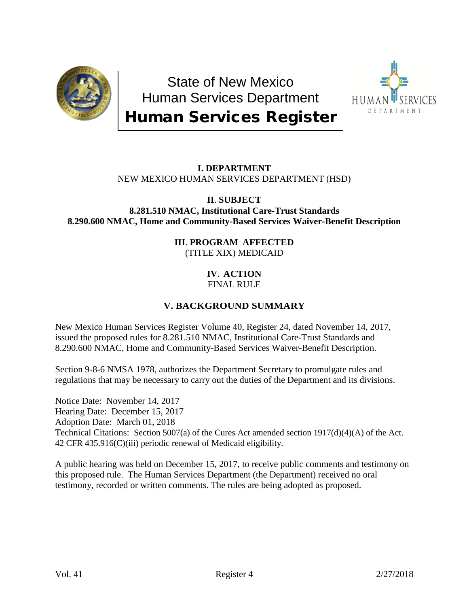

State of New Mexico Human Services Department Human Services Register



# **I. DEPARTMENT** NEW MEXICO HUMAN SERVICES DEPARTMENT (HSD)

#### **II**. **SUBJECT 8.281.510 NMAC, Institutional Care-Trust Standards 8.290.600 NMAC, Home and Community-Based Services Waiver-Benefit Description**

## **III**. **PROGRAM AFFECTED** (TITLE XIX) MEDICAID

# **IV**. **ACTION** FINAL RULE

# **V. BACKGROUND SUMMARY**

New Mexico Human Services Register Volume 40, Register 24, dated November 14, 2017, issued the proposed rules for 8.281.510 NMAC, Institutional Care-Trust Standards and 8.290.600 NMAC, Home and Community-Based Services Waiver-Benefit Description.

Section 9-8-6 NMSA 1978, authorizes the Department Secretary to promulgate rules and regulations that may be necessary to carry out the duties of the Department and its divisions.

Notice Date: November 14, 2017 Hearing Date: December 15, 2017 Adoption Date: March 01, 2018 Technical Citations: Section 5007(a) of the Cures Act amended section 1917(d)(4)(A) of the Act. 42 CFR 435.916(C)(iii) periodic renewal of Medicaid eligibility.

A public hearing was held on December 15, 2017, to receive public comments and testimony on this proposed rule. The Human Services Department (the Department) received no oral testimony, recorded or written comments. The rules are being adopted as proposed.